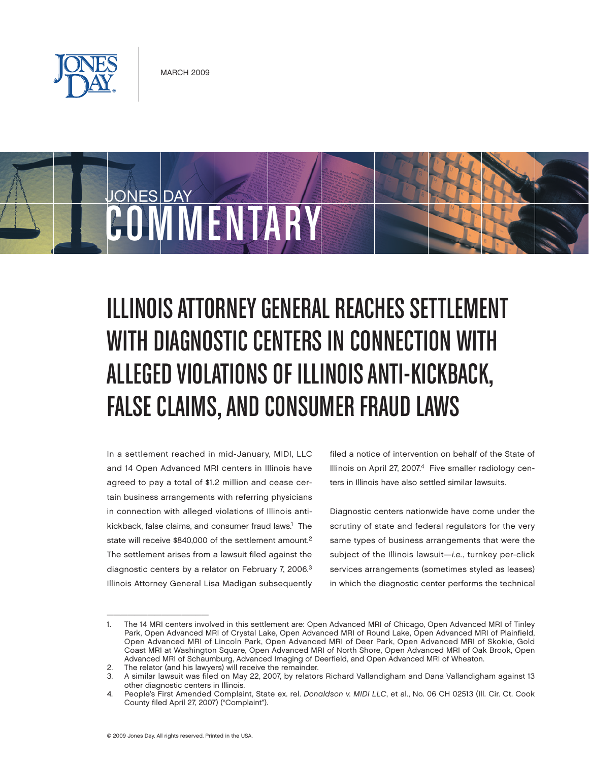



# Illinois Attorney General Reaches Settlement with Diagnostic Centers in Connection with Alleged Violations of Illinois Anti-Kickback, FALSE CLAIMS, AND CONSUMER FRAUD LAWS

In a settlement reached in mid-January, MIDI, LLC and 14 Open Advanced MRI centers in Illinois have agreed to pay a total of \$1.2 million and cease certain business arrangements with referring physicians in connection with alleged violations of Illinois antikickback, false claims, and consumer fraud laws.<sup>1</sup> The state will receive \$840,000 of the settlement amount.<sup>2</sup> The settlement arises from a lawsuit filed against the diagnostic centers by a relator on February 7, 2006.<sup>3</sup> Illinois Attorney General Lisa Madigan subsequently

filed a notice of intervention on behalf of the State of Illinois on April 27, 2007.<sup>4</sup> Five smaller radiology centers in Illinois have also settled similar lawsuits.

Diagnostic centers nationwide have come under the scrutiny of state and federal regulators for the very same types of business arrangements that were the subject of the Illinois lawsuit-i.e., turnkey per-click services arrangements (sometimes styled as leases) in which the diagnostic center performs the technical

 $\overline{\phantom{a}}$  , which is a set of the set of the set of the set of the set of the set of the set of the set of the set of the set of the set of the set of the set of the set of the set of the set of the set of the set of th

<sup>1.</sup> The 14 MRI centers involved in this settlement are: Open Advanced MRI of Chicago, Open Advanced MRI of Tinley Park, Open Advanced MRI of Crystal Lake, Open Advanced MRI of Round Lake, Open Advanced MRI of Plainfield, Open Advanced MRI of Lincoln Park, Open Advanced MRI of Deer Park, Open Advanced MRI of Skokie, Gold Coast MRI at Washington Square, Open Advanced MRI of North Shore, Open Advanced MRI of Oak Brook, Open Advanced MRI of Schaumburg, Advanced Imaging of Deerfield, and Open Advanced MRI of Wheaton.

<sup>2.</sup> The relator (and his lawyers) will receive the remainder.<br>3. A similar lawsuit was filed on May 22, 2007, by relators

<sup>3.</sup> A similar lawsuit was filed on May 22, 2007, by relators Richard Vallandigham and Dana Vallandigham against 13 other diagnostic centers in Illinois.

<sup>4.</sup> People's First Amended Complaint, State ex. rel. Donaldson v. MIDI LLC, et al., No. 06 CH 02513 (Ill. Cir. Ct. Cook County filed April 27, 2007) ("Complaint").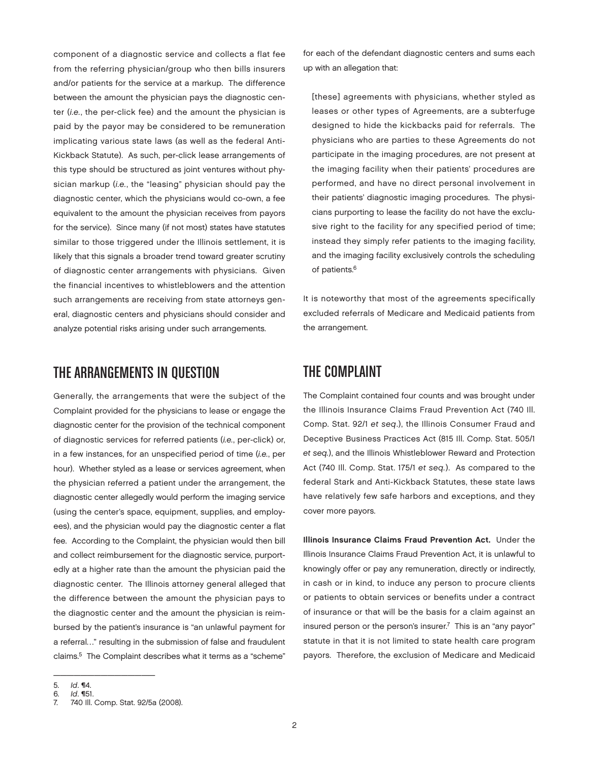component of a diagnostic service and collects a flat fee from the referring physician/group who then bills insurers and/or patients for the service at a markup. The difference between the amount the physician pays the diagnostic center (i.e., the per-click fee) and the amount the physician is paid by the payor may be considered to be remuneration implicating various state laws (as well as the federal Anti-Kickback Statute). As such, per-click lease arrangements of this type should be structured as joint ventures without physician markup (i.e., the "leasing" physician should pay the diagnostic center, which the physicians would co-own, a fee equivalent to the amount the physician receives from payors for the service). Since many (if not most) states have statutes similar to those triggered under the Illinois settlement, it is likely that this signals a broader trend toward greater scrutiny of diagnostic center arrangements with physicians. Given the financial incentives to whistleblowers and the attention such arrangements are receiving from state attorneys general, diagnostic centers and physicians should consider and analyze potential risks arising under such arrangements.

### The Arrangements in Question

Generally, the arrangements that were the subject of the Complaint provided for the physicians to lease or engage the diagnostic center for the provision of the technical component of diagnostic services for referred patients (i.e., per-click) or, in a few instances, for an unspecified period of time (i.e., per hour). Whether styled as a lease or services agreement, when the physician referred a patient under the arrangement, the diagnostic center allegedly would perform the imaging service (using the center's space, equipment, supplies, and employees), and the physician would pay the diagnostic center a flat fee. According to the Complaint, the physician would then bill and collect reimbursement for the diagnostic service, purportedly at a higher rate than the amount the physician paid the diagnostic center. The Illinois attorney general alleged that the difference between the amount the physician pays to the diagnostic center and the amount the physician is reimbursed by the patient's insurance is "an unlawful payment for a referral…" resulting in the submission of false and fraudulent claims.5 The Complaint describes what it terms as a "scheme"

for each of the defendant diagnostic centers and sums each up with an allegation that:

[these] agreements with physicians, whether styled as leases or other types of Agreements, are a subterfuge designed to hide the kickbacks paid for referrals. The physicians who are parties to these Agreements do not participate in the imaging procedures, are not present at the imaging facility when their patients' procedures are performed, and have no direct personal involvement in their patients' diagnostic imaging procedures. The physicians purporting to lease the facility do not have the exclusive right to the facility for any specified period of time; instead they simply refer patients to the imaging facility, and the imaging facility exclusively controls the scheduling of patients.<sup>6</sup>

It is noteworthy that most of the agreements specifically excluded referrals of Medicare and Medicaid patients from the arrangement.

## The Complaint

The Complaint contained four counts and was brought under the Illinois Insurance Claims Fraud Prevention Act (740 Ill. Comp. Stat. 92/1 et seq.), the Illinois Consumer Fraud and Deceptive Business Practices Act (815 Ill. Comp. Stat. 505/1 et seq.), and the Illinois Whistleblower Reward and Protection Act (740 Ill. Comp. Stat. 175/1 et seq.). As compared to the federal Stark and Anti-Kickback Statutes, these state laws have relatively few safe harbors and exceptions, and they cover more payors.

Illinois Insurance Claims Fraud Prevention Act. Under the Illinois Insurance Claims Fraud Prevention Act, it is unlawful to knowingly offer or pay any remuneration, directly or indirectly, in cash or in kind, to induce any person to procure clients or patients to obtain services or benefits under a contract of insurance or that will be the basis for a claim against an insured person or the person's insurer.<sup>7</sup> This is an "any payor" statute in that it is not limited to state health care program payors. Therefore, the exclusion of Medicare and Medicaid

 $\overline{\phantom{a}}$  , and the set of the set of the set of the set of the set of the set of the set of the set of the set of the set of the set of the set of the set of the set of the set of the set of the set of the set of the s

<sup>5.</sup> *Id.* **14.**<br>6. *Id.* **151** 

<sup>6.</sup> *Id.* **151.**<br>7 740 III

<sup>740</sup> Ill. Comp. Stat. 92/5a (2008).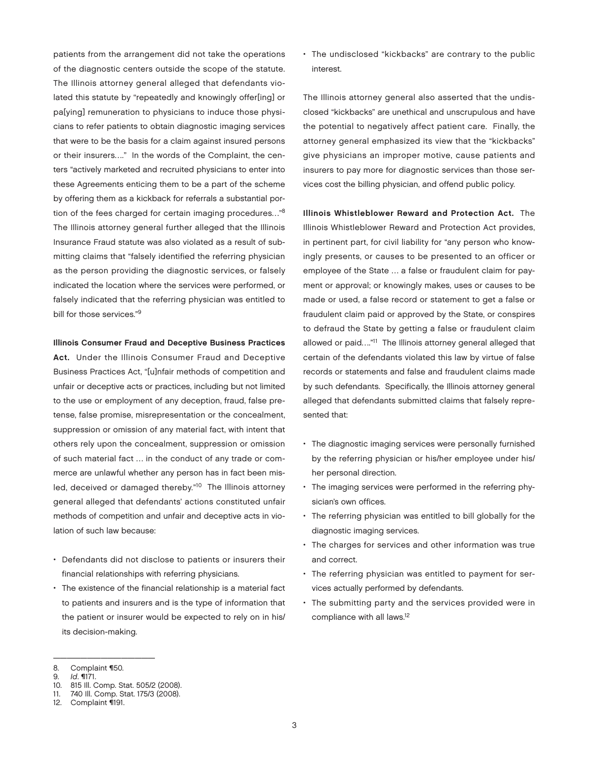patients from the arrangement did not take the operations of the diagnostic centers outside the scope of the statute. The Illinois attorney general alleged that defendants violated this statute by "repeatedly and knowingly offer[ing] or pa[ying] remuneration to physicians to induce those physicians to refer patients to obtain diagnostic imaging services that were to be the basis for a claim against insured persons or their insurers…." In the words of the Complaint, the centers "actively marketed and recruited physicians to enter into these Agreements enticing them to be a part of the scheme by offering them as a kickback for referrals a substantial portion of the fees charged for certain imaging procedures…"8 The Illinois attorney general further alleged that the Illinois Insurance Fraud statute was also violated as a result of submitting claims that "falsely identified the referring physician as the person providing the diagnostic services, or falsely indicated the location where the services were performed, or falsely indicated that the referring physician was entitled to bill for those services."9

#### Illinois Consumer Fraud and Deceptive Business Practices

Act. Under the Illinois Consumer Fraud and Deceptive Business Practices Act, "[u]nfair methods of competition and unfair or deceptive acts or practices, including but not limited to the use or employment of any deception, fraud, false pretense, false promise, misrepresentation or the concealment, suppression or omission of any material fact, with intent that others rely upon the concealment, suppression or omission of such material fact … in the conduct of any trade or commerce are unlawful whether any person has in fact been misled, deceived or damaged thereby."<sup>10</sup> The Illinois attorney general alleged that defendants' actions constituted unfair methods of competition and unfair and deceptive acts in violation of such law because:

- Defendants did not disclose to patients or insurers their financial relationships with referring physicians.
- The existence of the financial relationship is a material fact to patients and insurers and is the type of information that the patient or insurer would be expected to rely on in his/ its decision-making.

• The undisclosed "kickbacks" are contrary to the public interest.

The Illinois attorney general also asserted that the undisclosed "kickbacks" are unethical and unscrupulous and have the potential to negatively affect patient care. Finally, the attorney general emphasized its view that the "kickbacks" give physicians an improper motive, cause patients and insurers to pay more for diagnostic services than those services cost the billing physician, and offend public policy.

Illinois Whistleblower Reward and Protection Act. The Illinois Whistleblower Reward and Protection Act provides, in pertinent part, for civil liability for "any person who knowingly presents, or causes to be presented to an officer or employee of the State … a false or fraudulent claim for payment or approval; or knowingly makes, uses or causes to be made or used, a false record or statement to get a false or fraudulent claim paid or approved by the State, or conspires to defraud the State by getting a false or fraudulent claim allowed or paid...."<sup>11</sup> The Illinois attorney general alleged that certain of the defendants violated this law by virtue of false records or statements and false and fraudulent claims made by such defendants. Specifically, the Illinois attorney general alleged that defendants submitted claims that falsely represented that:

- The diagnostic imaging services were personally furnished by the referring physician or his/her employee under his/ her personal direction.
- The imaging services were performed in the referring physician's own offices.
- The referring physician was entitled to bill globally for the diagnostic imaging services.
- The charges for services and other information was true and correct.
- The referring physician was entitled to payment for services actually performed by defendants.
- • The submitting party and the services provided were in compliance with all laws.<sup>12</sup>

 $\overline{\phantom{a}}$  , where  $\overline{\phantom{a}}$  , where  $\overline{\phantom{a}}$  , where  $\overline{\phantom{a}}$ 

<sup>8.</sup> Complaint ¶50.

<sup>9.</sup>  $Id. \blacksquare$ 171.

<sup>10.</sup> 815 Ill. Comp. Stat. 505/2 (2008).

<sup>11.</sup> 740 Ill. Comp. Stat. 175/3 (2008).

<sup>12.</sup> Complaint ¶191.